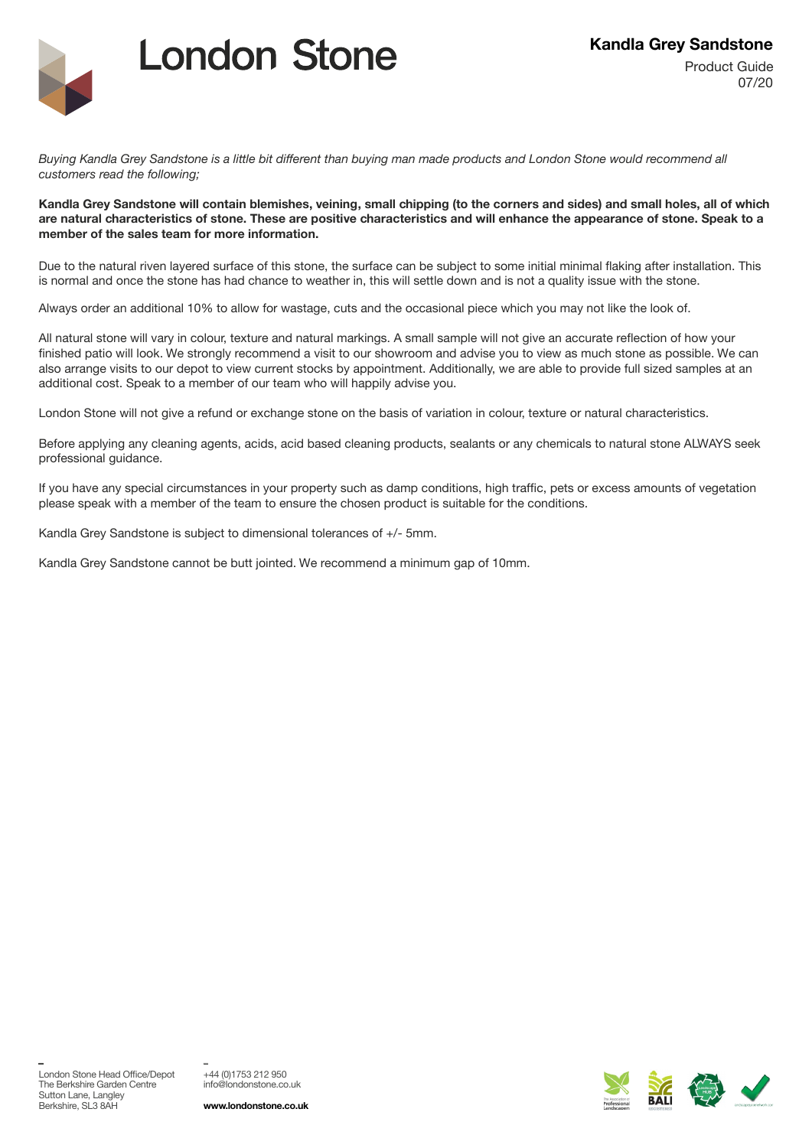

## **London Stone**

*Buying Kandla Grey Sandstone is a little bit different than buying man made products and London Stone would recommend all customers read the following;* 

## **Kandla Grey Sandstone will contain blemishes, veining, small chipping (to the corners and sides) and small holes, all of which are natural characteristics of stone. These are positive characteristics and will enhance the appearance of stone. Speak to a member of the sales team for more information.**

Due to the natural riven layered surface of this stone, the surface can be subject to some initial minimal flaking after installation. This is normal and once the stone has had chance to weather in, this will settle down and is not a quality issue with the stone.

Always order an additional 10% to allow for wastage, cuts and the occasional piece which you may not like the look of.

All natural stone will vary in colour, texture and natural markings. A small sample will not give an accurate reflection of how your finished patio will look. We strongly recommend a visit to our showroom and advise you to view as much stone as possible. We can also arrange visits to our depot to view current stocks by appointment. Additionally, we are able to provide full sized samples at an additional cost. Speak to a member of our team who will happily advise you.

London Stone will not give a refund or exchange stone on the basis of variation in colour, texture or natural characteristics.

Before applying any cleaning agents, acids, acid based cleaning products, sealants or any chemicals to natural stone ALWAYS seek professional guidance.

If you have any special circumstances in your property such as damp conditions, high traffic, pets or excess amounts of vegetation please speak with a member of the team to ensure the chosen product is suitable for the conditions.

Kandla Grey Sandstone is subject to dimensional tolerances of +/- 5mm.

Kandla Grey Sandstone cannot be butt jointed. We recommend a minimum gap of 10mm.

\_

+44 (0)1753 212 950 info@londonstone.co.uk

\_

**www.londonstone.co.uk**